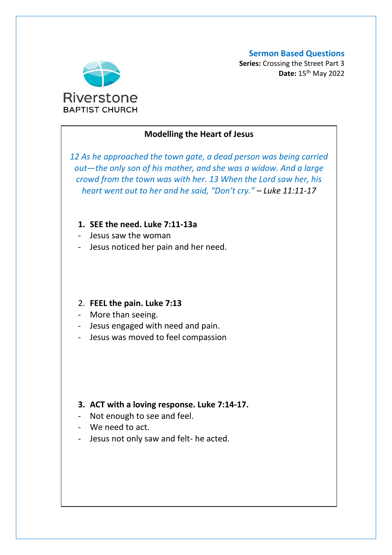#### **Sermon Based Questions**



**Series:** Crossing the Street Part 3 **Date:** 15th May 2022

## **Modelling the Heart of Jesus**

*12 As he approached the town gate, a dead person was being carried out—the only son of his mother, and she was a widow. And a large crowd from the town was with her. 13 When the Lord saw her, his heart went out to her and he said, "Don't cry." – Luke 11:11-17*

### **1. SEE the need. Luke 7:11-13a**

- Jesus saw the woman
- Jesus noticed her pain and her need.

#### 2. **FEEL the pain. Luke 7:13**

- More than seeing.
- Jesus engaged with need and pain.
- Jesus was moved to feel compassion

# **3. ACT with a loving response. Luke 7:14-17.**

- Not enough to see and feel.
- We need to act.
- Jesus not only saw and felt- he acted.